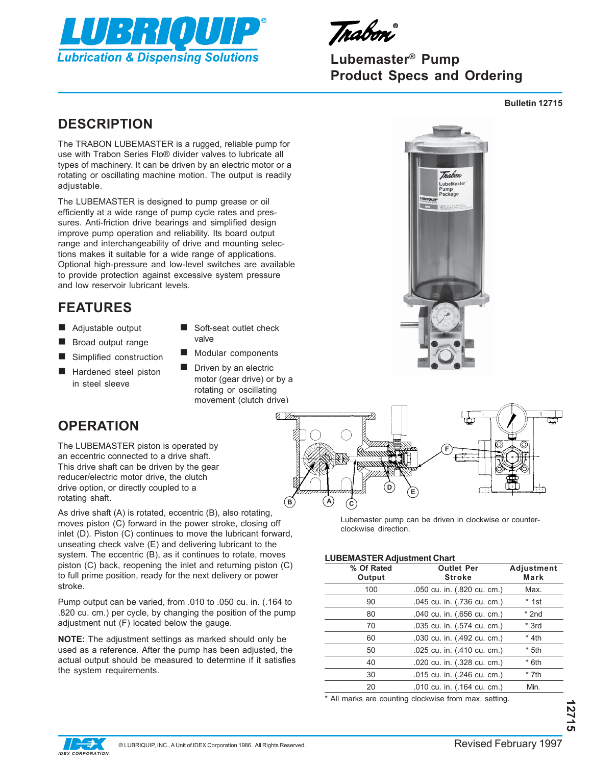

Irabon

# **Lubemaster® Pump Product Specs and Ordering**

**Bulletin 12715**

# **DESCRIPTION**

The TRABON LUBEMASTER is a rugged, reliable pump for use with Trabon Series Flo® divider valves to lubricate all types of machinery. It can be driven by an electric motor or a rotating or oscillating machine motion. The output is readily adjustable.

The LUBEMASTER is designed to pump grease or oil efficiently at a wide range of pump cycle rates and pressures. Anti-friction drive bearings and simplified design improve pump operation and reliability. Its board output range and interchangeability of drive and mounting selections makes it suitable for a wide range of applications. Optional high-pressure and low-level switches are available to provide protection against excessive system pressure and low reservoir lubricant levels.

# **FEATURES**

- Adjustable output
- **Broad output range**
- Simplified construction
- Hardened steel piston in steel sleeve
- Soft-seat outlet check valve
- Modular components
- Driven by an electric motor (gear drive) or by a rotating or oscillating movement (clutch drive)





**OPERATION**

The LUBEMASTER piston is operated by an eccentric connected to a drive shaft. This drive shaft can be driven by the gear reducer/electric motor drive, the clutch drive option, or directly coupled to a rotating shaft.

As drive shaft (A) is rotated, eccentric (B), also rotating, moves piston (C) forward in the power stroke, closing off inlet (D). Piston (C) continues to move the lubricant forward, unseating check valve (E) and delivering lubricant to the system. The eccentric (B), as it continues to rotate, moves piston (C) back, reopening the inlet and returning piston (C) to full prime position, ready for the next delivery or power stroke.

Pump output can be varied, from .010 to .050 cu. in. (.164 to .820 cu. cm.) per cycle, by changing the position of the pump adjustment nut (F) located below the gauge.

**NOTE:** The adjustment settings as marked should only be used as a reference. After the pump has been adjusted, the actual output should be measured to determine if it satisfies the system requirements.

Lubemaster pump can be driven in clockwise or counterclockwise direction.

#### **LUBEMASTER Adjustment Chart**

| % Of Rated<br>Output | <b>Outlet Per</b><br><b>Stroke</b> | Adjustment<br>Mark |
|----------------------|------------------------------------|--------------------|
| 100                  | .050 cu. in. (.820 cu. cm.)        | Max.               |
| 90                   | .045 cu. in. (.736 cu. cm.)        | * 1st              |
| 80                   | .040 cu. in. (.656 cu. cm.)        | $*$ 2nd            |
| 70                   | .035 cu. in. (.574 cu. cm.)        | $*$ 3rd            |
| 60                   | .030 cu. in. (.492 cu. cm.)        | * 4th              |
| 50                   | .025 cu. in. (.410 cu. cm.)        | $*$ 5th            |
| 40                   | .020 cu. in. (.328 cu. cm.)        | $*$ 6th            |
| 30                   | .015 cu. in. (.246 cu. cm.)        | $*$ 7th            |
| 20                   | .010 cu. in. (.164 cu. cm.)        | Min.               |

\* All marks are counting clockwise from max. setting.

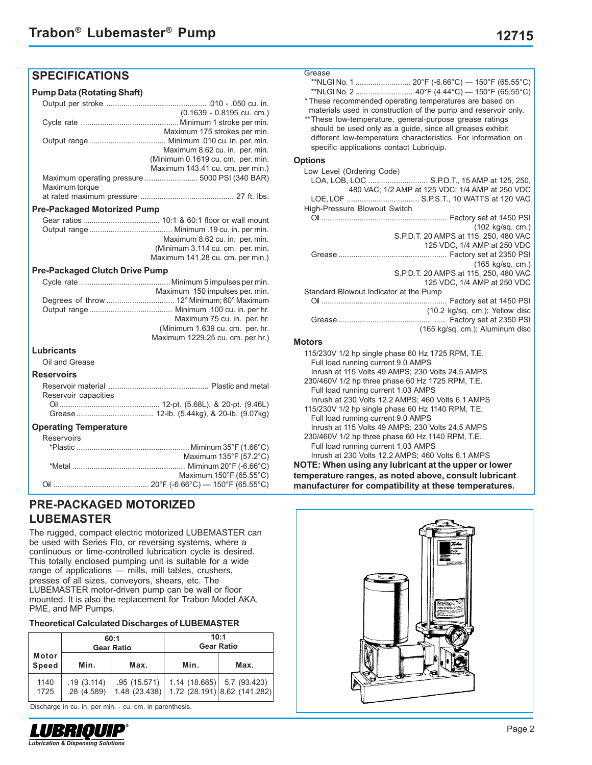# **SPECIFICATIONS**

#### **Pump Data (Rotating Shaft)**

|                | (0.1639 - 0.8195 cu. cm.)                      |
|----------------|------------------------------------------------|
|                |                                                |
|                | Maximum 175 strokes per min.                   |
|                |                                                |
|                | Maximum 8.62 cu. in. per. min.                 |
|                | (Minimum 0.1619 cu. cm. per. min.              |
|                | Maximum 143.41 cu. cm. per min.)               |
|                | Maximum operating pressure  5000 PSI (340 BAR) |
| Maximum torque |                                                |
|                |                                                |
|                |                                                |

#### **Pre-Packaged Motorized Pump**

|  | Maximum 8.62 cu. in. per. min.   |
|--|----------------------------------|
|  | (Minimum 3.114 cu. cm. per. min. |
|  | Maximum 141.28 cu. cm. per min.) |
|  |                                  |

#### **Pre-Packaged Clutch Drive Pump**

|                   | Maximum 150 impulses per. min.   |
|-------------------|----------------------------------|
|                   |                                  |
|                   |                                  |
|                   | Maximum 75 cu. in. per. hr.      |
|                   | (Minimum 1.639 cu. cm. per. hr.  |
|                   | Maximum 1229.25 cu. cm. per hr.) |
| <b>Lubricants</b> |                                  |

Oil and Grease

#### **Reservoirs**

| Reservoir capacities |  |
|----------------------|--|
|                      |  |
|                      |  |

#### **Operating Temperature**

## **PRE-PACKAGED MOTORIZED LUBEMASTER**

The rugged, compact electric motorized LUBEMASTER can be used with Series Flo, or reversing systems, where a continuous or time-controlled lubrication cycle is desired. This totally enclosed pumping unit is suitable for a wide range of applications — mills, mill tables, crushers, presses of all sizes, conveyors, shears, etc. The LUBEMASTER motor-driven pump can be wall or floor mounted. It is also the replacement for Trabon Model AKA, PME, and MP Pumps.

## **Theoretical Calculated Discharges of LUBEMASTER**

|                       | 60:1<br><b>Gear Ratio</b> |                               | 10:1<br><b>Gear Ratio</b> |                                                              |  |
|-----------------------|---------------------------|-------------------------------|---------------------------|--------------------------------------------------------------|--|
| Motor<br><b>Speed</b> | Min.                      | Max.                          | Min.                      | Max.                                                         |  |
| 1140<br>1725          | .19(3.114)<br>.28(4.589)  | .95 (15.571)<br>1.48 (23.438) |                           | $1.14$ (18.685) 5.7 (93.423)<br>1.72 (28.191) 8.62 (141.282) |  |

Discharge in cu. in. per min. - cu. cm. in parenthesis.



| Grease<br>* These recommended operating temperatures are based on<br>materials used in construction of the pump and reservoir only.<br>** These low-temperature, general-purpose grease ratings<br>should be used only as a guide, since all greases exhibit<br>different low-temperature characteristics. For information on<br>specific applications contact Lubriquip. |
|---------------------------------------------------------------------------------------------------------------------------------------------------------------------------------------------------------------------------------------------------------------------------------------------------------------------------------------------------------------------------|
| <b>Options</b>                                                                                                                                                                                                                                                                                                                                                            |
| Low Level (Ordering Code)<br>LOA, LOB, LOC  S.P.D.T., 15 AMP at 125, 250,<br>480 VAC; 1/2 AMP at 125 VDC; 1/4 AMP at 250 VDC<br>LOE, LOF  S.P.S.T., 10 WATTS at 120 VAC<br>High-Pressure Blowout Switch                                                                                                                                                                   |
| (102 kg/sq. cm.)<br>S.P.D.T. 20 AMPS at 115, 250, 480 VAC<br>125 VDC, 1/4 AMP at 250 VDC<br>$(165 \text{ kg/sg. cm.})$<br>S.P.D.T. 20 AMPS at 115, 250, 480 VAC<br>125 VDC, 1/4 AMP at 250 VDC                                                                                                                                                                            |
| Standard Blowout Indicator at the Pump                                                                                                                                                                                                                                                                                                                                    |
| (10.2 kg/sq. cm.); Yellow disc<br>(165 kg/sg. cm.); Aluminum disc                                                                                                                                                                                                                                                                                                         |
| <b>Motors</b>                                                                                                                                                                                                                                                                                                                                                             |
| 115/230V 1/2 hp single phase 60 Hz 1725 RPM, T.E.<br>Full load running current 9.0 AMPS<br>Inrush at 115 Volts 49 AMPS; 230 Volts 24.5 AMPS<br>230/460V 1/2 hp three phase 60 Hz 1725 RPM, T.E.<br>Full load supplies oursent 1.02.AMDC.                                                                                                                                  |

| $\frac{1}{2}$                                     |  |
|---------------------------------------------------|--|
| Full load running current 1.03 AMPS               |  |
| Inrush at 230 Volts 12.2 AMPS; 460 Volts 6.1 AMPS |  |
| 115/230V 1/2 hp single phase 60 Hz 1140 RPM, T.E. |  |
| Full load running current 9.0 AMPS                |  |
| $\blacksquare$                                    |  |

Inrush at 115 Volts 49 AMPS; 230 Volts 24.5 AMPS 230/460V 1/2 hp three phase 60 Hz 1140 RPM, T.E. Full load running current 1.03 AMPS

Inrush at 230 Volts 12.2 AMPS; 460 Volts 6.1 AMPS **NOTE: When using any lubricant at the upper or lower temperature ranges, as noted above, consult lubricant manufacturer for compatibility at these temperatures.**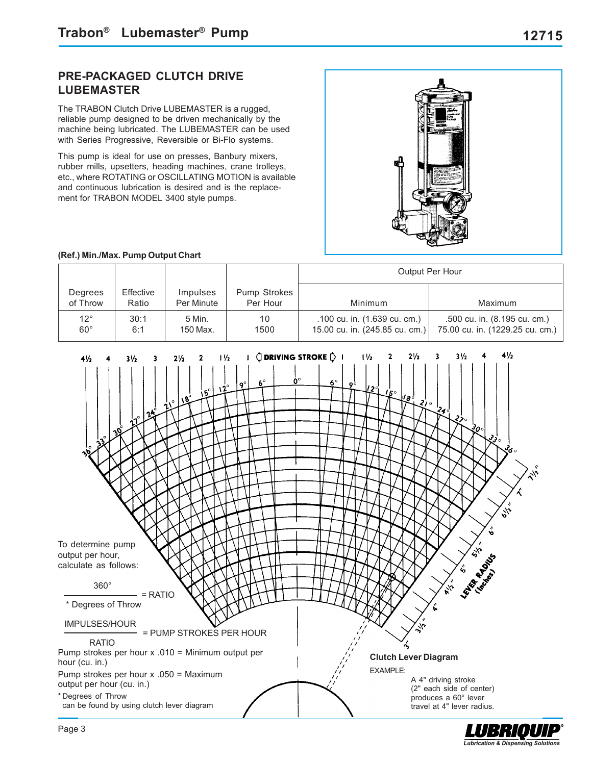# **PRE-PACKAGED CLUTCH DRIVE LUBEMASTER**

The TRABON Clutch Drive LUBEMASTER is a rugged, reliable pump designed to be driven mechanically by the machine being lubricated. The LUBEMASTER can be used with Series Progressive, Reversible or Bi-Flo systems.

This pump is ideal for use on presses, Banbury mixers, rubber mills, upsetters, heading machines, crane trolleys, etc., where ROTATING or OSCILLATING MOTION is available and continuous lubrication is desired and is the replacement for TRABON MODEL 3400 style pumps.



### **(Ref.) Min./Max. Pump Output Chart**

|                              |                    |                               |                          |                                                                | Output Per Hour                                                 |
|------------------------------|--------------------|-------------------------------|--------------------------|----------------------------------------------------------------|-----------------------------------------------------------------|
| Degrees<br>of Throw          | Effective<br>Ratio | <i>Impulses</i><br>Per Minute | Pump Strokes<br>Per Hour | Minimum                                                        | Maximum                                                         |
| $12^{\circ}$<br>$60^{\circ}$ | 30:1<br>6:1        | 5 Min.<br>150 Max.            | 10<br>1500               | .100 cu. in. (1.639 cu. cm.)<br>15.00 cu. in. (245.85 cu. cm.) | .500 cu. in. (8.195 cu. cm.)<br>75.00 cu. in. (1229.25 cu. cm.) |



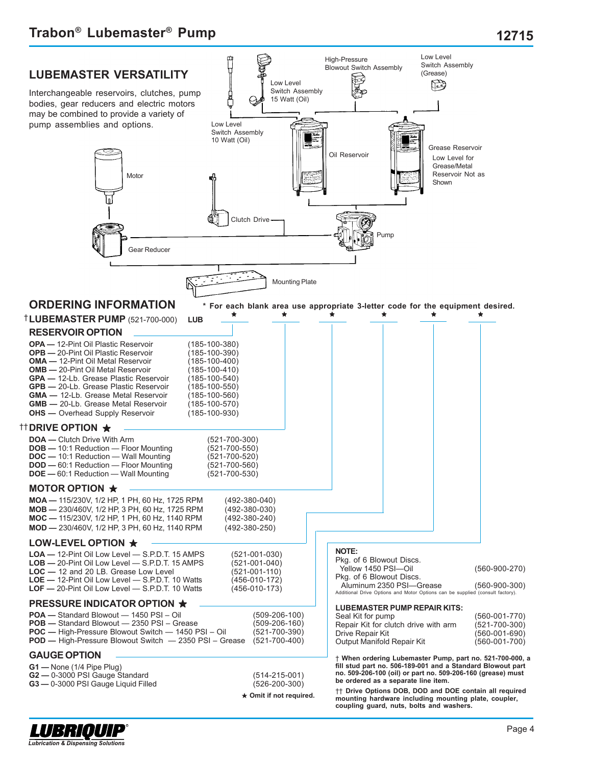

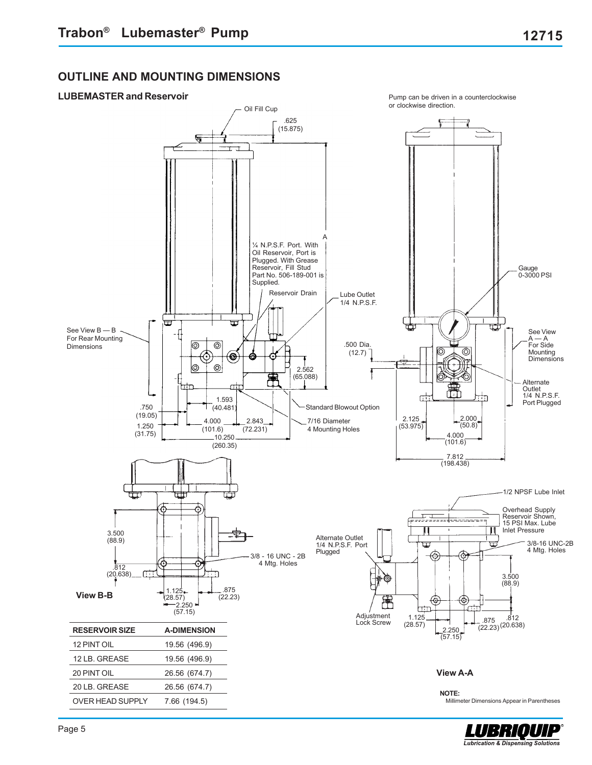# **OUTLINE AND MOUNTING DIMENSIONS**



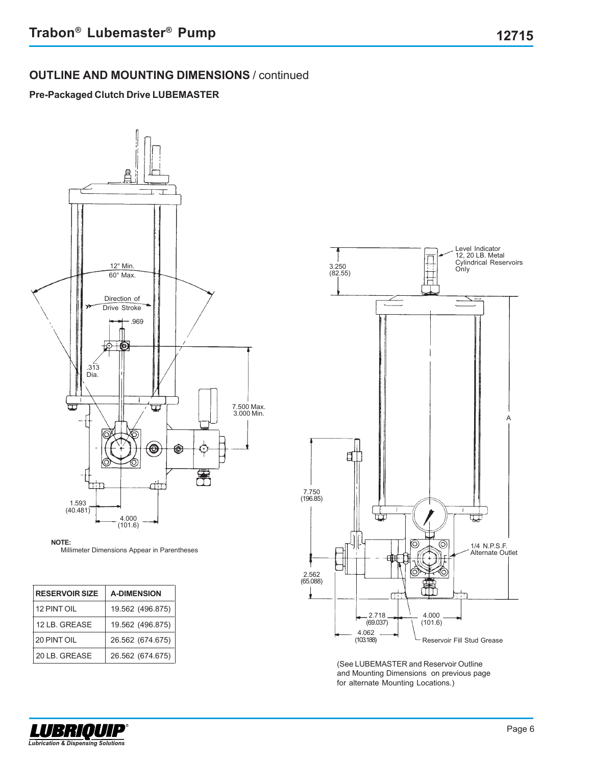# **OUTLINE AND MOUNTING DIMENSIONS** / continued

## **Pre-Packaged Clutch Drive LUBEMASTER**



#### **NOTE:**

Millimeter Dimensions Appear in Parentheses

| <b>RESERVOIR SIZE</b> | <b>A-DIMENSION</b> |
|-----------------------|--------------------|
| 12 PINT OIL           | 19.562 (496.875)   |
| 12 LB. GREASE         | 19.562 (496.875)   |
| 20 PINT OIL           | 26.562 (674.675)   |
| 20 LB. GREASE         | 26.562 (674.675)   |



(See LUBEMASTER and Reservoir Outline and Mounting Dimensions on previous page for alternate Mounting Locations.)



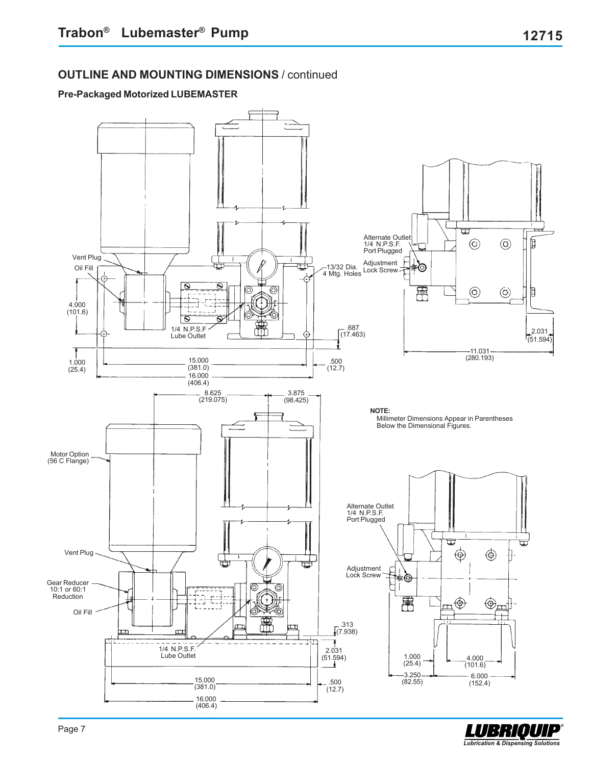## **Pre-Packaged Motorized LUBEMASTER**